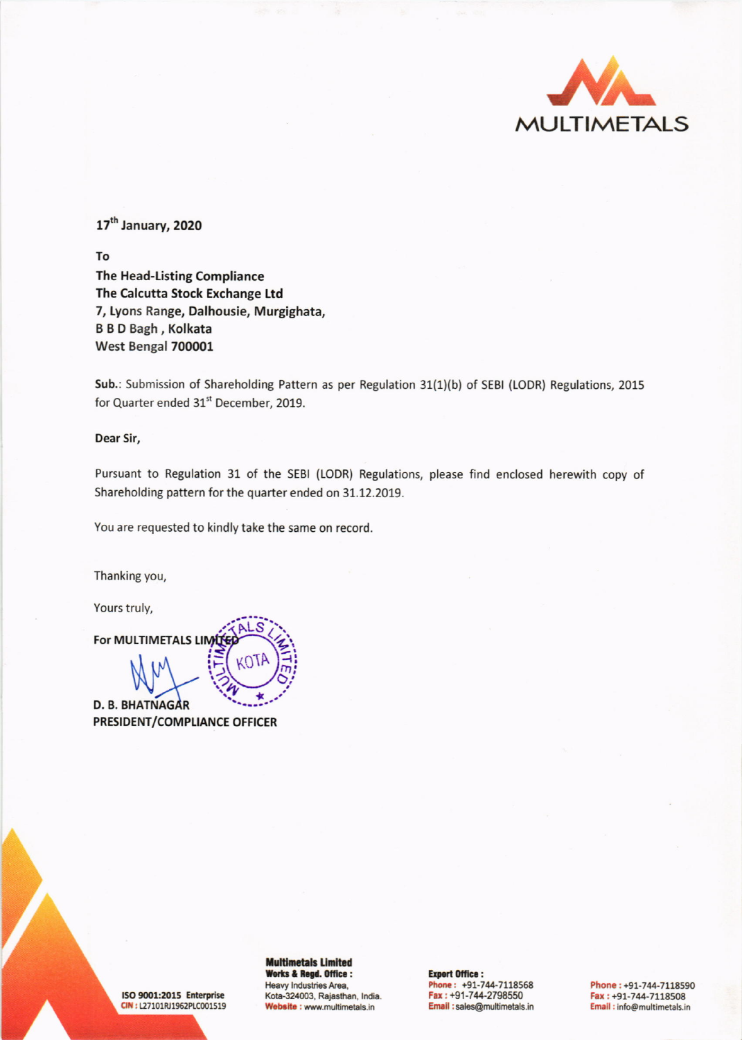

17<sup>th</sup> January, 2020

To The Head-Listing Compliance The Calcutta Stock Exchange Ltd 7, Lyons Range, Dalhousie, Murgighata, **B B D Bagh, Kolkata** West Bengal 700001

Sub.: Submission of Shareholding Pattern as per Regulation 31(1)(b) of SEBI (LODR) Regulations, 2015 for Quarter ended 31st December, 2019.

Dear Sir,

Pursuant to Regulation 31 of the SEBI (LODR) Regulations, please find enclosed herewith copy of Shareholding pattern for the quarter ended on 31.12.2019.

You are requested to kindly take the same on record.

Thanking you,

Yours truly,

For MULTIMETALS LIM **D. B. BHATNAGAR PRESIDENT/COMPLIANCE OFFICER** 

ISO 9001:2015 Enterprise CIN: L27101RJ1962PLC001519 **Multimetals Limited** Works & Regd. Office : Heavy Industries Area, Kota-324003, Rajasthan, India. Website : www.multimetals.in

**Export Office:** Phone: +91-744-7118568<br>Fax: +91-744-2798550 Email:sales@multimetals.in

Phone: +91-744-7118590 Fax: +91-744-7118508 Email: info@multimetals.in